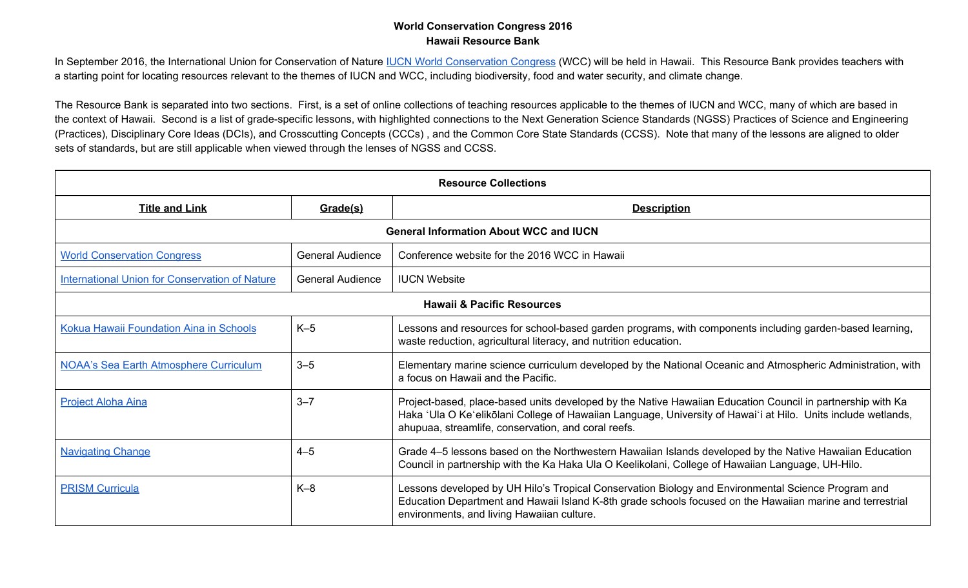In September 2016, the International Union for [Conservation](http://www.iucnworldconservationcongress.org/) of Nature **IUCN World Conservation Congress** (WCC) will be held in Hawaii. This Resource Bank provides teachers with a starting point for locating resources relevant to the themes of IUCN and WCC, including biodiversity, food and water security, and climate change.

The Resource Bank is separated into two sections. First, is a set of online collections of teaching resources applicable to the themes of IUCN and WCC, many of which are based in the context of Hawaii. Second is a list of grade-specific lessons, with highlighted connections to the Next Generation Science Standards (NGSS) Practices of Science and Engineering (Practices), Disciplinary Core Ideas (DCIs), and Crosscutting Concepts (CCCs) , and the Common Core State Standards (CCSS). Note that many of the lessons are aligned to older sets of standards, but are still applicable when viewed through the lenses of NGSS and CCSS.

| <b>Resource Collections</b>                           |                                                                                                                                                              |                                                                                                                                                                                                                                                                                    |  |  |  |  |
|-------------------------------------------------------|--------------------------------------------------------------------------------------------------------------------------------------------------------------|------------------------------------------------------------------------------------------------------------------------------------------------------------------------------------------------------------------------------------------------------------------------------------|--|--|--|--|
| <b>Title and Link</b>                                 | Grade(s)                                                                                                                                                     | <b>Description</b>                                                                                                                                                                                                                                                                 |  |  |  |  |
|                                                       | <b>General Information About WCC and IUCN</b>                                                                                                                |                                                                                                                                                                                                                                                                                    |  |  |  |  |
| <b>World Conservation Congress</b>                    | <b>General Audience</b>                                                                                                                                      | Conference website for the 2016 WCC in Hawaii                                                                                                                                                                                                                                      |  |  |  |  |
| <b>International Union for Conservation of Nature</b> | <b>General Audience</b>                                                                                                                                      | <b>IUCN Website</b>                                                                                                                                                                                                                                                                |  |  |  |  |
|                                                       |                                                                                                                                                              | <b>Hawaii &amp; Pacific Resources</b>                                                                                                                                                                                                                                              |  |  |  |  |
| Kokua Hawaii Foundation Aina in Schools               | $K-5$                                                                                                                                                        | Lessons and resources for school-based garden programs, with components including garden-based learning,<br>waste reduction, agricultural literacy, and nutrition education.                                                                                                       |  |  |  |  |
| <b>NOAA's Sea Earth Atmosphere Curriculum</b>         | $3 - 5$<br>Elementary marine science curriculum developed by the National Oceanic and Atmospheric Administration, with<br>a focus on Hawaii and the Pacific. |                                                                                                                                                                                                                                                                                    |  |  |  |  |
| <b>Project Aloha Aina</b>                             | $3 - 7$                                                                                                                                                      | Project-based, place-based units developed by the Native Hawaiian Education Council in partnership with Ka<br>Haka 'Ula O Ke'elikōlani College of Hawaiian Language, University of Hawai'i at Hilo. Units include wetlands,<br>ahupuaa, streamlife, conservation, and coral reefs. |  |  |  |  |
| <b>Navigating Change</b>                              | $4 - 5$                                                                                                                                                      | Grade 4-5 lessons based on the Northwestern Hawaiian Islands developed by the Native Hawaiian Education<br>Council in partnership with the Ka Haka Ula O Keelikolani, College of Hawaiian Language, UH-Hilo.                                                                       |  |  |  |  |
| <b>PRISM Curricula</b>                                | $K-8$                                                                                                                                                        | Lessons developed by UH Hilo's Tropical Conservation Biology and Environmental Science Program and<br>Education Department and Hawaii Island K-8th grade schools focused on the Hawaiian marine and terrestrial<br>environments, and living Hawaiian culture.                      |  |  |  |  |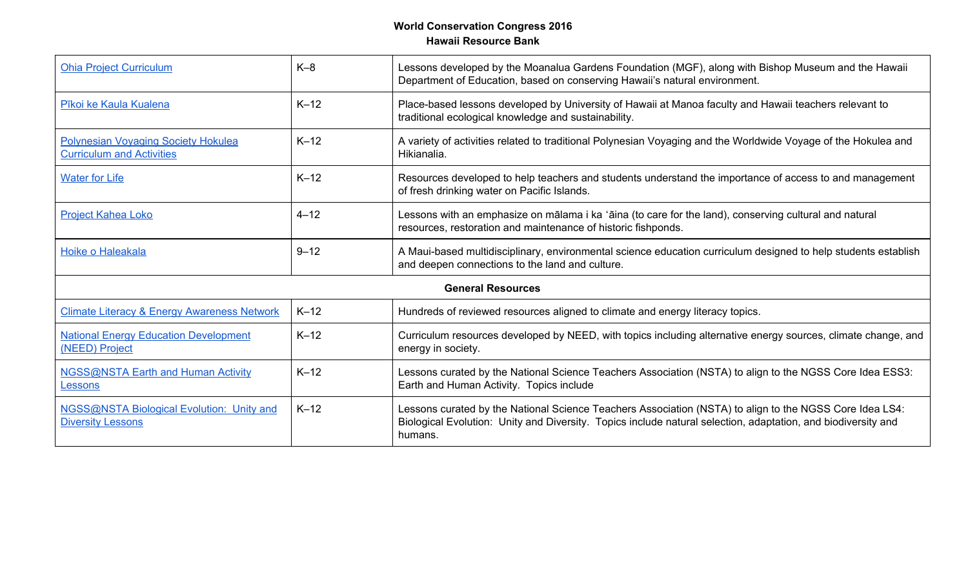| <b>Ohia Project Curriculum</b>                                          | $K-8$    | Lessons developed by the Moanalua Gardens Foundation (MGF), along with Bishop Museum and the Hawaii<br>Department of Education, based on conserving Hawaii's natural environment.                                                   |  |
|-------------------------------------------------------------------------|----------|-------------------------------------------------------------------------------------------------------------------------------------------------------------------------------------------------------------------------------------|--|
| Pīkoi ke Kaula Kualena                                                  | $K-12$   | Place-based lessons developed by University of Hawaii at Manoa faculty and Hawaii teachers relevant to<br>traditional ecological knowledge and sustainability.                                                                      |  |
| Polynesian Voyaging Society Hokulea<br><b>Curriculum and Activities</b> | $K-12$   | A variety of activities related to traditional Polynesian Voyaging and the Worldwide Voyage of the Hokulea and<br>Hikianalia.                                                                                                       |  |
| <b>Water for Life</b>                                                   | $K-12$   | Resources developed to help teachers and students understand the importance of access to and management<br>of fresh drinking water on Pacific Islands.                                                                              |  |
| <b>Project Kahea Loko</b>                                               | $4 - 12$ | Lessons with an emphasize on mālama i ka 'āina (to care for the land), conserving cultural and natural<br>resources, restoration and maintenance of historic fishponds.                                                             |  |
| Hoike o Haleakala                                                       | $9 - 12$ | A Maui-based multidisciplinary, environmental science education curriculum designed to help students establish<br>and deepen connections to the land and culture.                                                                   |  |
|                                                                         |          | <b>General Resources</b>                                                                                                                                                                                                            |  |
| <b>Climate Literacy &amp; Energy Awareness Network</b>                  | $K-12$   | Hundreds of reviewed resources aligned to climate and energy literacy topics.                                                                                                                                                       |  |
| <b>National Energy Education Development</b><br>(NEED) Project          | $K-12$   | Curriculum resources developed by NEED, with topics including alternative energy sources, climate change, and<br>energy in society.                                                                                                 |  |
| <b>NGSS@NSTA Earth and Human Activity</b><br>Lessons                    | $K-12$   | Lessons curated by the National Science Teachers Association (NSTA) to align to the NGSS Core Idea ESS3:<br>Earth and Human Activity. Topics include                                                                                |  |
| NGSS@NSTA Biological Evolution: Unity and<br><b>Diversity Lessons</b>   | $K-12$   | Lessons curated by the National Science Teachers Association (NSTA) to align to the NGSS Core Idea LS4:<br>Biological Evolution: Unity and Diversity. Topics include natural selection, adaptation, and biodiversity and<br>humans. |  |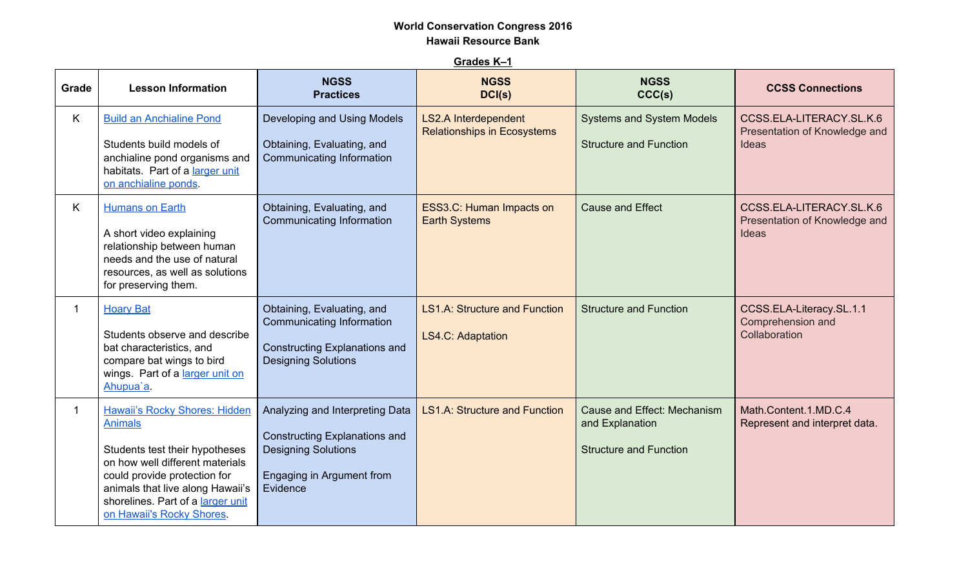**Grades K–1**

| Grade | <b>Lesson Information</b>                                                                                                                                                                                                                                         | <b>NGSS</b><br><b>Practices</b>                                                                                                         | <b>NGSS</b><br>DCI(s)                                             | <b>NGSS</b><br>CCC(s)                                                           | <b>CCSS Connections</b>                                                   |
|-------|-------------------------------------------------------------------------------------------------------------------------------------------------------------------------------------------------------------------------------------------------------------------|-----------------------------------------------------------------------------------------------------------------------------------------|-------------------------------------------------------------------|---------------------------------------------------------------------------------|---------------------------------------------------------------------------|
| Κ     | <b>Build an Anchialine Pond</b><br>Students build models of<br>anchialine pond organisms and<br>habitats. Part of a larger unit<br>on anchialine ponds.                                                                                                           | Developing and Using Models<br>Obtaining, Evaluating, and<br><b>Communicating Information</b>                                           | <b>LS2.A Interdependent</b><br><b>Relationships in Ecosystems</b> | <b>Systems and System Models</b><br><b>Structure and Function</b>               | CCSS.ELA-LITERACY.SL.K.6<br>Presentation of Knowledge and<br>Ideas        |
| K.    | Humans on Earth<br>A short video explaining<br>relationship between human<br>needs and the use of natural<br>resources, as well as solutions<br>for preserving them.                                                                                              | Obtaining, Evaluating, and<br><b>Communicating Information</b>                                                                          | ESS3.C: Human Impacts on<br><b>Earth Systems</b>                  | <b>Cause and Effect</b>                                                         | CCSS.ELA-LITERACY.SL.K.6<br>Presentation of Knowledge and<br><b>Ideas</b> |
|       | <b>Hoary Bat</b><br>Students observe and describe<br>bat characteristics, and<br>compare bat wings to bird<br>wings. Part of a larger unit on<br>Ahupua'a.                                                                                                        | Obtaining, Evaluating, and<br>Communicating Information<br><b>Constructing Explanations and</b><br><b>Designing Solutions</b>           | <b>LS1.A: Structure and Function</b><br>LS4.C: Adaptation         | <b>Structure and Function</b>                                                   | CCSS.ELA-Literacy.SL.1.1<br>Comprehension and<br>Collaboration            |
|       | <b>Hawaii's Rocky Shores: Hidden</b><br><b>Animals</b><br>Students test their hypotheses<br>on how well different materials<br>could provide protection for<br>animals that live along Hawaii's<br>shorelines. Part of a larger unit<br>on Hawaii's Rocky Shores. | Analyzing and Interpreting Data<br>Constructing Explanations and<br><b>Designing Solutions</b><br>Engaging in Argument from<br>Evidence | <b>LS1.A: Structure and Function</b>                              | Cause and Effect: Mechanism<br>and Explanation<br><b>Structure and Function</b> | Math.Content.1.MD.C.4<br>Represent and interpret data.                    |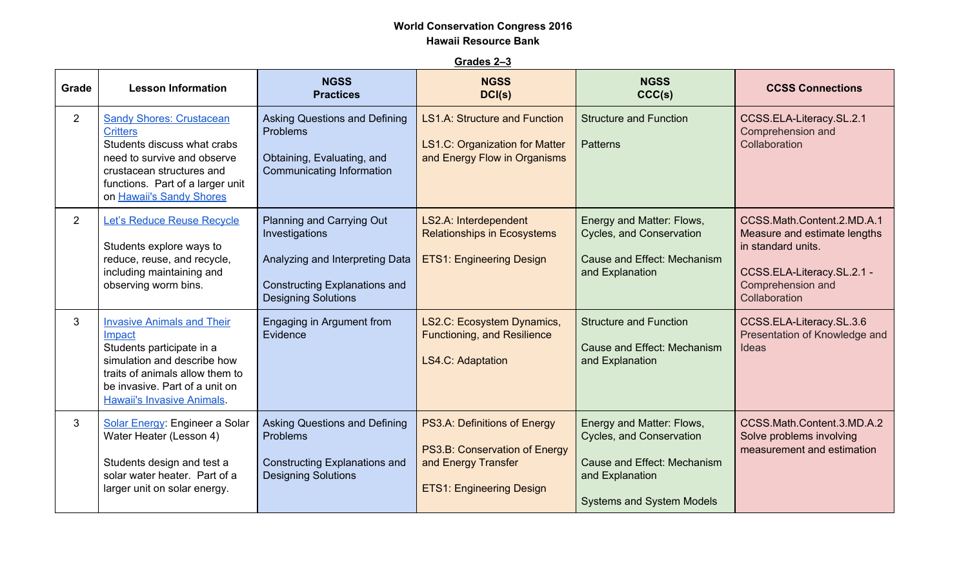**Grades 2–3**

| Grade          | <b>Lesson Information</b>                                                                                                                                                                                         | <b>NGSS</b><br><b>Practices</b>                                                                                                                      | <b>NGSS</b><br>DCI(s)                                                                                                   | <b>NGSS</b><br>CCC(s)                                                                                                                       | <b>CCSS Connections</b>                                                                                                                              |
|----------------|-------------------------------------------------------------------------------------------------------------------------------------------------------------------------------------------------------------------|------------------------------------------------------------------------------------------------------------------------------------------------------|-------------------------------------------------------------------------------------------------------------------------|---------------------------------------------------------------------------------------------------------------------------------------------|------------------------------------------------------------------------------------------------------------------------------------------------------|
| $\overline{2}$ | <b>Sandy Shores: Crustacean</b><br><b>Critters</b><br>Students discuss what crabs<br>need to survive and observe<br>crustacean structures and<br>functions. Part of a larger unit<br>on Hawaii's Sandy Shores     | <b>Asking Questions and Defining</b><br>Problems<br>Obtaining, Evaluating, and<br>Communicating Information                                          | <b>LS1.A: Structure and Function</b><br><b>LS1.C: Organization for Matter</b><br>and Energy Flow in Organisms           | <b>Structure and Function</b><br><b>Patterns</b>                                                                                            | CCSS.ELA-Literacy.SL.2.1<br>Comprehension and<br>Collaboration                                                                                       |
| $\overline{2}$ | Let's Reduce Reuse Recycle<br>Students explore ways to<br>reduce, reuse, and recycle,<br>including maintaining and<br>observing worm bins.                                                                        | Planning and Carrying Out<br>Investigations<br>Analyzing and Interpreting Data<br><b>Constructing Explanations and</b><br><b>Designing Solutions</b> | LS2.A: Interdependent<br><b>Relationships in Ecosystems</b><br><b>ETS1: Engineering Design</b>                          | Energy and Matter: Flows,<br>Cycles, and Conservation<br>Cause and Effect: Mechanism<br>and Explanation                                     | CCSS.Math.Content.2.MD.A.1<br>Measure and estimate lengths<br>in standard units.<br>CCSS.ELA-Literacy.SL.2.1 -<br>Comprehension and<br>Collaboration |
| 3              | <b>Invasive Animals and Their</b><br>Impact<br>Students participate in a<br>simulation and describe how<br>traits of animals allow them to<br>be invasive. Part of a unit on<br><b>Hawaii's Invasive Animals.</b> | Engaging in Argument from<br>Evidence                                                                                                                | LS2.C: Ecosystem Dynamics,<br><b>Functioning, and Resilience</b><br><b>LS4.C: Adaptation</b>                            | <b>Structure and Function</b><br>Cause and Effect: Mechanism<br>and Explanation                                                             | CCSS.ELA-Literacy.SL.3.6<br>Presentation of Knowledge and<br><b>Ideas</b>                                                                            |
| 3              | Solar Energy: Engineer a Solar<br>Water Heater (Lesson 4)<br>Students design and test a<br>solar water heater. Part of a<br>larger unit on solar energy.                                                          | <b>Asking Questions and Defining</b><br>Problems<br><b>Constructing Explanations and</b><br><b>Designing Solutions</b>                               | PS3.A: Definitions of Energy<br>PS3.B: Conservation of Energy<br>and Energy Transfer<br><b>ETS1: Engineering Design</b> | Energy and Matter: Flows,<br>Cycles, and Conservation<br>Cause and Effect: Mechanism<br>and Explanation<br><b>Systems and System Models</b> | CCSS.Math.Content.3.MD.A.2<br>Solve problems involving<br>measurement and estimation                                                                 |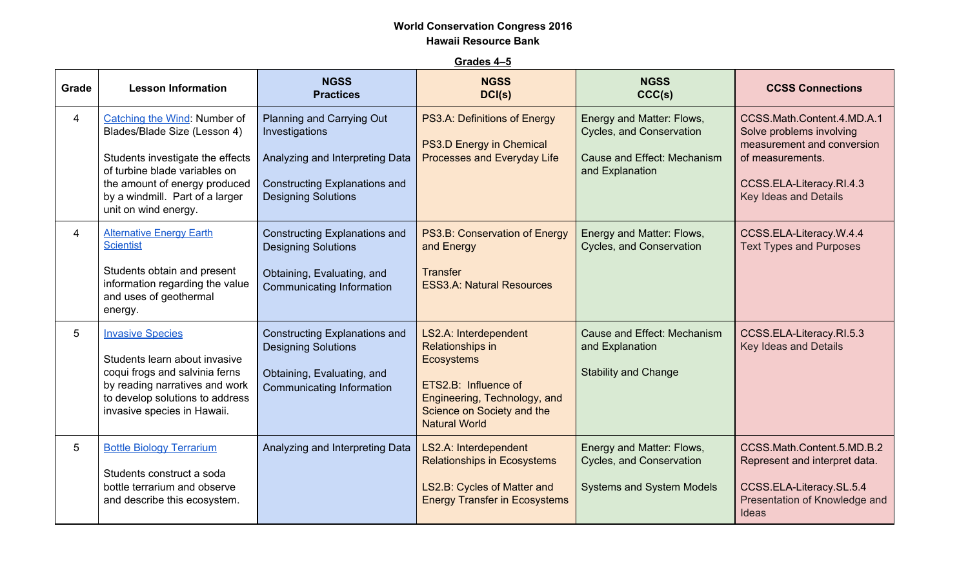**Grades 4–5**

| Grade          | <b>Lesson Information</b>                                                                                                                                                                                                     | <b>NGSS</b><br><b>Practices</b>                                                                                                                      | <b>NGSS</b><br>DCI(s)                                                                                                                                                        | <b>NGSS</b><br>CCC(s)                                                                                   | <b>CCSS Connections</b>                                                                                                                                              |
|----------------|-------------------------------------------------------------------------------------------------------------------------------------------------------------------------------------------------------------------------------|------------------------------------------------------------------------------------------------------------------------------------------------------|------------------------------------------------------------------------------------------------------------------------------------------------------------------------------|---------------------------------------------------------------------------------------------------------|----------------------------------------------------------------------------------------------------------------------------------------------------------------------|
| 4              | Catching the Wind: Number of<br>Blades/Blade Size (Lesson 4)<br>Students investigate the effects<br>of turbine blade variables on<br>the amount of energy produced<br>by a windmill. Part of a larger<br>unit on wind energy. | Planning and Carrying Out<br>Investigations<br>Analyzing and Interpreting Data<br><b>Constructing Explanations and</b><br><b>Designing Solutions</b> | PS3.A: Definitions of Energy<br><b>PS3.D Energy in Chemical</b><br><b>Processes and Everyday Life</b>                                                                        | Energy and Matter: Flows,<br>Cycles, and Conservation<br>Cause and Effect: Mechanism<br>and Explanation | CCSS.Math.Content.4.MD.A.1<br>Solve problems involving<br>measurement and conversion<br>of measurements.<br>CCSS.ELA-Literacy.RI.4.3<br><b>Key Ideas and Details</b> |
| $\overline{4}$ | <b>Alternative Energy Earth</b><br><b>Scientist</b><br>Students obtain and present<br>information regarding the value<br>and uses of geothermal<br>energy.                                                                    | <b>Constructing Explanations and</b><br><b>Designing Solutions</b><br>Obtaining, Evaluating, and<br>Communicating Information                        | PS3.B: Conservation of Energy<br>and Energy<br><b>Transfer</b><br><b>ESS3.A: Natural Resources</b>                                                                           | Energy and Matter: Flows,<br>Cycles, and Conservation                                                   | CCSS.ELA-Literacy.W.4.4<br><b>Text Types and Purposes</b>                                                                                                            |
| 5              | <b>Invasive Species</b><br>Students learn about invasive<br>coqui frogs and salvinia ferns<br>by reading narratives and work<br>to develop solutions to address<br>invasive species in Hawaii.                                | <b>Constructing Explanations and</b><br><b>Designing Solutions</b><br>Obtaining, Evaluating, and<br>Communicating Information                        | LS2.A: Interdependent<br>Relationships in<br><b>Ecosystems</b><br>ETS2.B: Influence of<br>Engineering, Technology, and<br>Science on Society and the<br><b>Natural World</b> | Cause and Effect: Mechanism<br>and Explanation<br><b>Stability and Change</b>                           | CCSS.ELA-Literacy.RI.5.3<br><b>Key Ideas and Details</b>                                                                                                             |
| 5              | <b>Bottle Biology Terrarium</b><br>Students construct a soda<br>bottle terrarium and observe<br>and describe this ecosystem.                                                                                                  | Analyzing and Interpreting Data                                                                                                                      | LS2.A: Interdependent<br><b>Relationships in Ecosystems</b><br>LS2.B: Cycles of Matter and<br><b>Energy Transfer in Ecosystems</b>                                           | Energy and Matter: Flows,<br>Cycles, and Conservation<br><b>Systems and System Models</b>               | CCSS.Math.Content.5.MD.B.2<br>Represent and interpret data.<br>CCSS.ELA-Literacy.SL.5.4<br>Presentation of Knowledge and<br><b>Ideas</b>                             |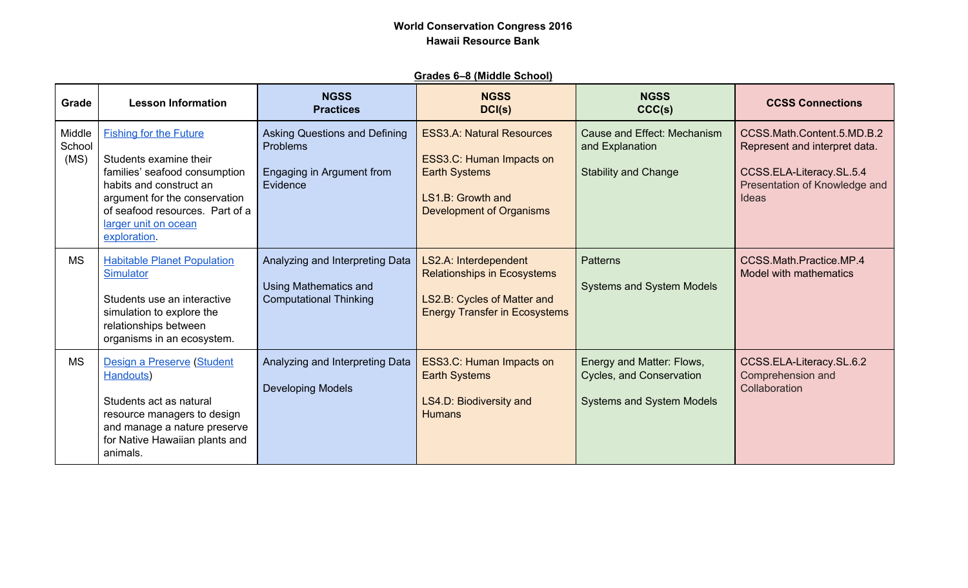### **Grades 6–8 (Middle School)**

| Grade                    | <b>Lesson Information</b>                                                                                                                                                                                                       | <b>NGSS</b><br><b>Practices</b>                                                                  | <b>NGSS</b><br>DCI(s)                                                                                                                        | <b>NGSS</b><br>CCC(s)                                                                     | <b>CCSS Connections</b>                                                                                                                  |
|--------------------------|---------------------------------------------------------------------------------------------------------------------------------------------------------------------------------------------------------------------------------|--------------------------------------------------------------------------------------------------|----------------------------------------------------------------------------------------------------------------------------------------------|-------------------------------------------------------------------------------------------|------------------------------------------------------------------------------------------------------------------------------------------|
| Middle<br>School<br>(MS) | <b>Fishing for the Future</b><br>Students examine their<br>families' seafood consumption<br>habits and construct an<br>argument for the conservation<br>of seafood resources. Part of a<br>larger unit on ocean<br>exploration. | <b>Asking Questions and Defining</b><br><b>Problems</b><br>Engaging in Argument from<br>Evidence | <b>ESS3.A: Natural Resources</b><br>ESS3.C: Human Impacts on<br><b>Earth Systems</b><br>LS1.B: Growth and<br><b>Development of Organisms</b> | <b>Cause and Effect: Mechanism</b><br>and Explanation<br><b>Stability and Change</b>      | CCSS.Math.Content.5.MD.B.2<br>Represent and interpret data.<br>CCSS.ELA-Literacy.SL.5.4<br>Presentation of Knowledge and<br><b>Ideas</b> |
| <b>MS</b>                | <b>Habitable Planet Population</b><br>Simulator<br>Students use an interactive<br>simulation to explore the<br>relationships between<br>organisms in an ecosystem.                                                              | Analyzing and Interpreting Data<br><b>Using Mathematics and</b><br><b>Computational Thinking</b> | LS2.A: Interdependent<br><b>Relationships in Ecosystems</b><br>LS2.B: Cycles of Matter and<br><b>Energy Transfer in Ecosystems</b>           | <b>Patterns</b><br><b>Systems and System Models</b>                                       | CCSS.Math.Practice.MP.4<br>Model with mathematics                                                                                        |
| <b>MS</b>                | Design a Preserve (Student<br>Handouts)<br>Students act as natural<br>resource managers to design<br>and manage a nature preserve<br>for Native Hawaiian plants and<br>animals.                                                 | Analyzing and Interpreting Data<br><b>Developing Models</b>                                      | ESS3.C: Human Impacts on<br><b>Earth Systems</b><br>LS4.D: Biodiversity and<br><b>Humans</b>                                                 | Energy and Matter: Flows,<br>Cycles, and Conservation<br><b>Systems and System Models</b> | CCSS.ELA-Literacy.SL.6.2<br>Comprehension and<br>Collaboration                                                                           |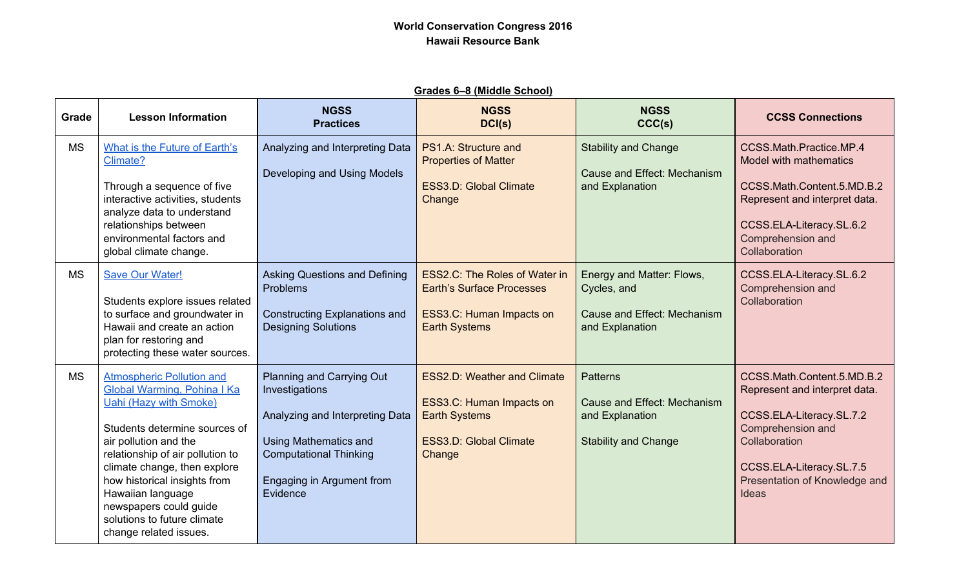| Grades 6–8 (Middle School) |
|----------------------------|
|----------------------------|

| Grade     | <b>Lesson Information</b>                                                                                                                                                                                                                                                                                                                                                     | <b>NGSS</b><br><b>Practices</b>                                                                                                                                                          | <b>NGSS</b><br>DCI(s)                                                                                                             | <b>NGSS</b><br>CCC(s)                                                                            | <b>CCSS Connections</b>                                                                                                                                                                             |
|-----------|-------------------------------------------------------------------------------------------------------------------------------------------------------------------------------------------------------------------------------------------------------------------------------------------------------------------------------------------------------------------------------|------------------------------------------------------------------------------------------------------------------------------------------------------------------------------------------|-----------------------------------------------------------------------------------------------------------------------------------|--------------------------------------------------------------------------------------------------|-----------------------------------------------------------------------------------------------------------------------------------------------------------------------------------------------------|
| <b>MS</b> | What is the Future of Earth's<br>Climate?<br>Through a sequence of five<br>interactive activities, students<br>analyze data to understand<br>relationships between<br>environmental factors and<br>global climate change.                                                                                                                                                     | Analyzing and Interpreting Data<br>Developing and Using Models                                                                                                                           | PS1.A: Structure and<br><b>Properties of Matter</b><br><b>ESS3.D: Global Climate</b><br>Change                                    | <b>Stability and Change</b><br>Cause and Effect: Mechanism<br>and Explanation                    | CCSS.Math.Practice.MP.4<br>Model with mathematics<br>CCSS.Math.Content.5.MD.B.2<br>Represent and interpret data.<br>CCSS.ELA-Literacy.SL.6.2<br>Comprehension and<br>Collaboration                  |
| <b>MS</b> | <b>Save Our Water!</b><br>Students explore issues related<br>to surface and groundwater in<br>Hawaii and create an action<br>plan for restoring and<br>protecting these water sources.                                                                                                                                                                                        | <b>Asking Questions and Defining</b><br>Problems<br><b>Constructing Explanations and</b><br><b>Designing Solutions</b>                                                                   | <b>ESS2.C: The Roles of Water in</b><br><b>Earth's Surface Processes</b><br>ESS3.C: Human Impacts on<br><b>Earth Systems</b>      | Energy and Matter: Flows,<br>Cycles, and<br>Cause and Effect: Mechanism<br>and Explanation       | CCSS.ELA-Literacy.SL.6.2<br>Comprehension and<br>Collaboration                                                                                                                                      |
| <b>MS</b> | <b>Atmospheric Pollution and</b><br><b>Global Warming, Pohina I Ka</b><br><b>Uahi (Hazy with Smoke)</b><br>Students determine sources of<br>air pollution and the<br>relationship of air pollution to<br>climate change, then explore<br>how historical insights from<br>Hawaiian language<br>newspapers could guide<br>solutions to future climate<br>change related issues. | Planning and Carrying Out<br>Investigations<br>Analyzing and Interpreting Data<br><b>Using Mathematics and</b><br><b>Computational Thinking</b><br>Engaging in Argument from<br>Evidence | <b>ESS2.D: Weather and Climate</b><br>ESS3.C: Human Impacts on<br><b>Earth Systems</b><br><b>ESS3.D: Global Climate</b><br>Change | <b>Patterns</b><br>Cause and Effect: Mechanism<br>and Explanation<br><b>Stability and Change</b> | CCSS.Math.Content.5.MD.B.2<br>Represent and interpret data.<br>CCSS.ELA-Literacy.SL.7.2<br>Comprehension and<br>Collaboration<br>CCSS.ELA-Literacy.SL.7.5<br>Presentation of Knowledge and<br>Ideas |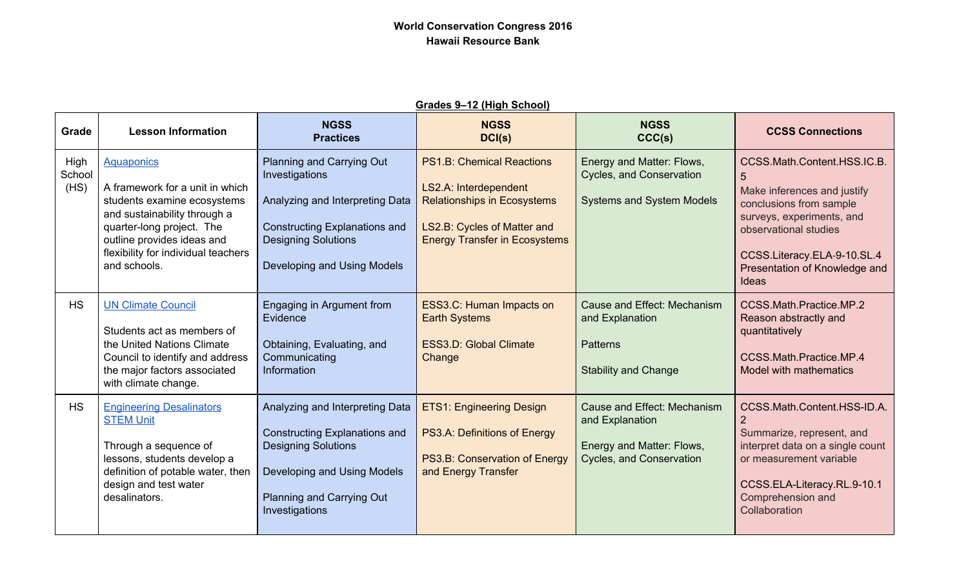| <u> Shaqes J—TZ (Thgir Ochool)</u> |                                                                                                                                                                                                                                       |                                                                                                                                                                                     |                                                                                                                                                                        |                                                                                                         |                                                                                                                                                                                                                           |
|------------------------------------|---------------------------------------------------------------------------------------------------------------------------------------------------------------------------------------------------------------------------------------|-------------------------------------------------------------------------------------------------------------------------------------------------------------------------------------|------------------------------------------------------------------------------------------------------------------------------------------------------------------------|---------------------------------------------------------------------------------------------------------|---------------------------------------------------------------------------------------------------------------------------------------------------------------------------------------------------------------------------|
| Grade                              | <b>Lesson Information</b>                                                                                                                                                                                                             | <b>NGSS</b><br><b>Practices</b>                                                                                                                                                     | <b>NGSS</b><br>DCI(s)                                                                                                                                                  | <b>NGSS</b><br>CCC(s)                                                                                   | <b>CCSS Connections</b>                                                                                                                                                                                                   |
| High<br>School<br>(HS)             | <b>Aquaponics</b><br>A framework for a unit in which<br>students examine ecosystems<br>and sustainability through a<br>quarter-long project. The<br>outline provides ideas and<br>flexibility for individual teachers<br>and schools. | Planning and Carrying Out<br>Investigations<br>Analyzing and Interpreting Data<br><b>Constructing Explanations and</b><br><b>Designing Solutions</b><br>Developing and Using Models | <b>PS1.B: Chemical Reactions</b><br>LS2.A: Interdependent<br><b>Relationships in Ecosystems</b><br>LS2.B: Cycles of Matter and<br><b>Energy Transfer in Ecosystems</b> | Energy and Matter: Flows,<br><b>Cycles, and Conservation</b><br><b>Systems and System Models</b>        | CCSS.Math.Content.HSS.IC.B.<br>5<br>Make inferences and justify<br>conclusions from sample<br>surveys, experiments, and<br>observational studies<br>CCSS.Literacy.ELA-9-10.SL.4<br>Presentation of Knowledge and<br>Ideas |
| <b>HS</b>                          | <b>UN Climate Council</b><br>Students act as members of<br>the United Nations Climate<br>Council to identify and address<br>the major factors associated<br>with climate change.                                                      | Engaging in Argument from<br>Evidence<br>Obtaining, Evaluating, and<br>Communicating<br><b>Information</b>                                                                          | <b>ESS3.C: Human Impacts on</b><br><b>Earth Systems</b><br><b>ESS3.D: Global Climate</b><br>Change                                                                     | Cause and Effect: Mechanism<br>and Explanation<br><b>Patterns</b><br><b>Stability and Change</b>        | CCSS.Math.Practice.MP.2<br>Reason abstractly and<br>quantitatively<br>CCSS.Math.Practice.MP.4<br>Model with mathematics                                                                                                   |
| <b>HS</b>                          | <b>Engineering Desalinators</b><br><b>STEM Unit</b><br>Through a sequence of<br>lessons, students develop a<br>definition of potable water, then<br>design and test water<br>desalinators.                                            | Analyzing and Interpreting Data<br><b>Constructing Explanations and</b><br><b>Designing Solutions</b><br>Developing and Using Models<br>Planning and Carrying Out<br>Investigations | <b>ETS1: Engineering Design</b><br>PS3.A: Definitions of Energy<br>PS3.B: Conservation of Energy<br>and Energy Transfer                                                | Cause and Effect: Mechanism<br>and Explanation<br>Energy and Matter: Flows,<br>Cycles, and Conservation | CCSS.Math.Content.HSS-ID.A.<br>Summarize, represent, and<br>interpret data on a single count<br>or measurement variable<br>CCSS.ELA-Literacy.RL.9-10.1<br>Comprehension and<br>Collaboration                              |

#### **Grades 9–12 (High School)**